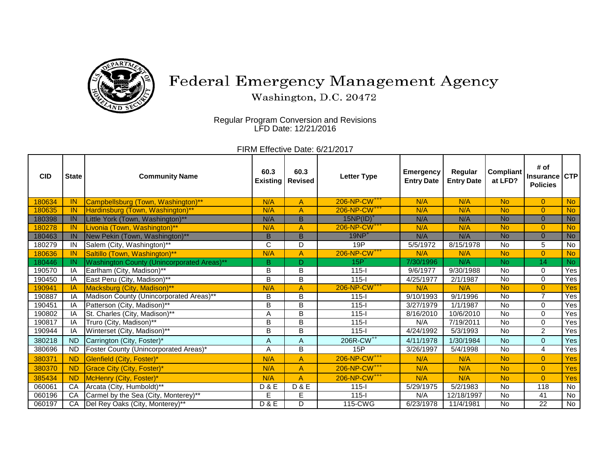

## Federal Emergency Management Agency

Washington, D.C. 20472

Regular Program Conversion and Revisions LFD Date: 12/21/2016

FIRM Effective Date: 6/21/2017

| <b>CID</b> | <b>State</b> | <b>Community Name</b>                             | 60.3<br><b>Existing</b> | 60.3<br><b>Revised</b> | <b>Letter Type</b>       | <b>Emergency</b><br><b>Entry Date</b> | Regular<br><b>Entry Date</b> | <b>Compliant</b><br>at LFD? | # of<br><b>Insurance</b><br><b>Policies</b> | <b>CTP</b> |
|------------|--------------|---------------------------------------------------|-------------------------|------------------------|--------------------------|---------------------------------------|------------------------------|-----------------------------|---------------------------------------------|------------|
| 180634     | IN           | Campbellsburg (Town, Washington)**                | N/A                     | A                      | 206-NP-CW <sup>+++</sup> | N/A                                   | N/A                          | <b>No</b>                   | $\overline{0}$                              | <b>No</b>  |
| 180635     | IN           | Hardinsburg (Town, Washington)**                  | N/A                     | A                      | 206-NP-CW <sup>+++</sup> | N/A                                   | N/A                          | <b>No</b>                   | $\overline{0}$                              | <b>No</b>  |
| 180398     | IN           | Little York (Town, Washington)**                  | N/A                     | B.                     | $15NP(ID)^+$             | N/A                                   | N/A                          | <b>No</b>                   | $\Omega$                                    | <b>No</b>  |
| 180278     | IN           | Livonia (Town, Washington)**                      | N/A                     | A                      | 206-NP-CW <sup>+++</sup> | N/A                                   | N/A                          | <b>No</b>                   | $\overline{0}$                              | <b>No</b>  |
| 180463     | IN           | New Pekin (Town, Washington)**                    | B                       | B.                     | $19NP+$                  | N/A                                   | N/A                          | <b>No</b>                   | $\overline{0}$                              | <b>No</b>  |
| 180279     | IN           | Salem (City, Washington)**                        | $\overline{C}$          | D                      | 19P                      | 5/5/1972                              | 8/15/1978                    | <b>No</b>                   | 5                                           | No         |
| 180636     | IN.          | Saltillo (Town, Washington)**                     | N/A                     | A                      | 206-NP-CW <sup>+++</sup> | N/A                                   | N/A                          | <b>No</b>                   | $\overline{0}$                              | <b>No</b>  |
| 180446     | IN.          | <b>Washington County (Unincorporated Areas)**</b> | B                       | D.                     | $15P^{^{\prime}}$        | 7/30/1996                             | N/A                          | No.                         | 14                                          | No.        |
| 190570     | IA           | Earlham (City, Madison)**                         | B                       | B                      | $115 -$                  | 9/6/1977                              | 9/30/1988                    | <b>No</b>                   | $\Omega$                                    | Yes        |
| 190450     | ΙA           | East Peru (City, Madison)**                       | B                       | B                      | $115 -$                  | 4/25/1977                             | 2/1/1987                     | <b>No</b>                   | $\Omega$                                    | Yes        |
| 190941     | IA           | Macksburg (City, Madison)**                       | N/A                     | A                      | 206-NP-CW <sup>+++</sup> | N/A                                   | N/A                          | <b>No</b>                   | $\overline{0}$                              | Yes        |
| 190887     | IA           | Madison County (Unincorporated Areas)**           | B                       | B                      | $115 -$                  | 9/10/1993                             | 9/1/1996                     | <b>No</b>                   | $\overline{7}$                              | Yes        |
| 190451     | IA           | Patterson (City, Madison)**                       | $\overline{B}$          | B                      | $115 -$                  | 3/27/1979                             | 1/1/1987                     | No                          | $\Omega$                                    | Yes        |
| 190802     | IA           | St. Charles (City, Madison)**                     | Α                       | B                      | $115 -$                  | 8/16/2010                             | 10/6/2010                    | <b>No</b>                   | $\Omega$                                    | Yes        |
| 190817     | ΙA           | Truro (City, Madison)**                           | B                       | B                      | $115 -$                  | N/A                                   | 7/19/2011                    | <b>No</b>                   | $\Omega$                                    | Yes        |
| 190944     | IA           | Winterset (City, Madison)**                       | B                       | B                      | $115-I$                  | 4/24/1992                             | 5/3/1993                     | <b>No</b>                   | $\overline{2}$                              | Yes        |
| 380218     | <b>ND</b>    | Carrington (City, Foster)*                        | A                       | A                      | 206R-CW <sup>++</sup>    | 4/11/1978                             | 1/30/1984                    | <b>No</b>                   | $\overline{0}$                              | <b>Yes</b> |
| 380696     | <b>ND</b>    | Foster County (Unincorporated Areas)*             | Α                       | B                      | 15P                      | 3/26/1997                             | 5/4/1998                     | <b>No</b>                   | 4                                           | Yes        |
| 380371     | <b>ND</b>    | Glenfield (City, Foster)*                         | N/A                     | $\overline{A}$         | 206-NP-CW <sup>+++</sup> | N/A                                   | N/A                          | <b>No</b>                   | $\overline{0}$                              | Yes        |
| 380370     | <b>ND</b>    | Grace City (City, Foster)*                        | N/A                     | $\overline{A}$         | 206-NP-CW <sup>+++</sup> | N/A                                   | N/A                          | <b>No</b>                   | $\overline{0}$                              | <b>Yes</b> |
| 385434     | <b>ND</b>    | McHenry (City, Foster)*                           | N/A                     | A                      | 206-NP-CW <sup>+++</sup> | N/A                                   | N/A                          | <b>No</b>                   | $\overline{0}$                              | <b>Yes</b> |
| 060061     | CA           | Arcata (City, Humboldt)**                         | <b>D&amp;E</b>          | <b>D&amp;E</b>         | $115 -$                  | 5/29/1975                             | 5/2/1983                     | No                          | 118                                         | No         |
| 060196     | CA           | Carmel by the Sea (City, Monterey)**              | E                       | E                      | $115 -$                  | N/A                                   | 12/18/1997                   | <b>No</b>                   | 41                                          | <b>No</b>  |
| 060197     | CA           | Del Rey Oaks (City, Monterey)**                   | <b>D&amp;E</b>          | D                      | 115-CWG                  | 6/23/1978                             | 11/4/1981                    | No                          | 22                                          | No         |